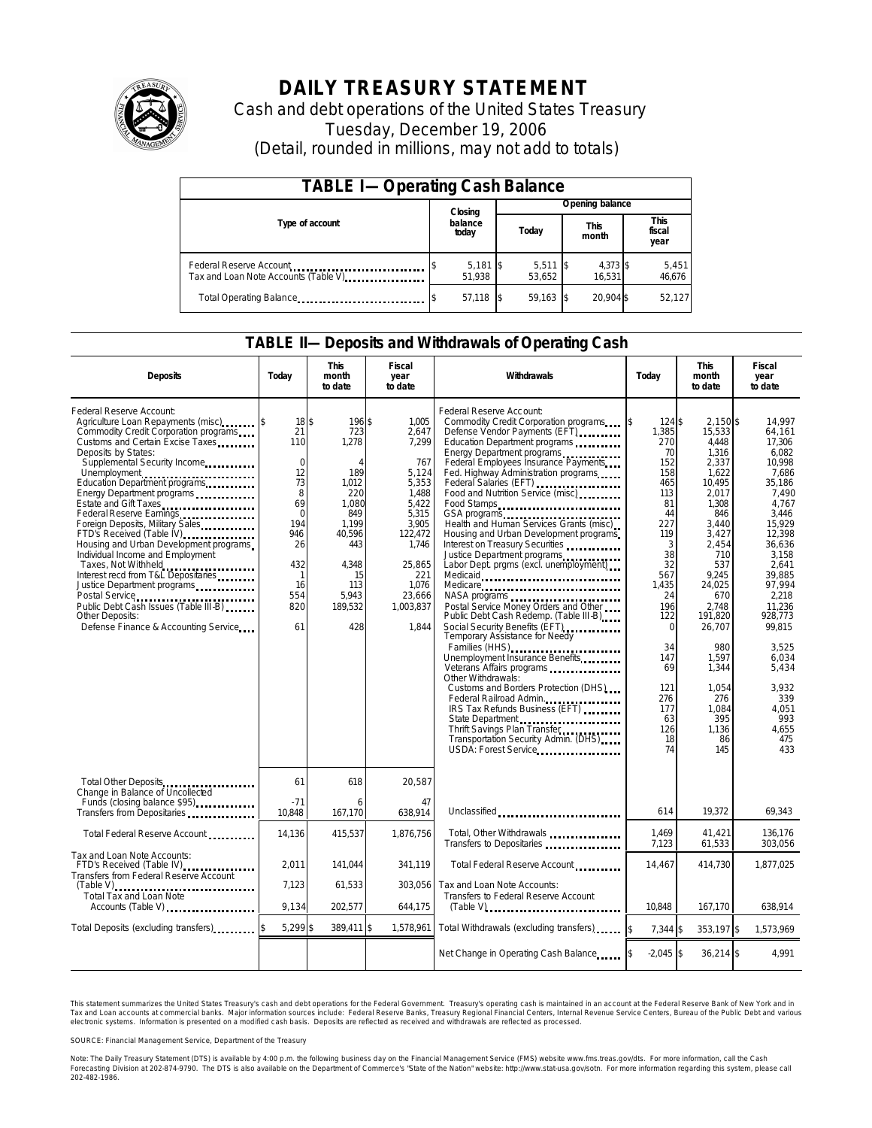

# **DAILY TREASURY STATEMENT**

Cash and debt operations of the United States Treasury Tuesday, December 19, 2006 (Detail, rounded in millions, may not add to totals)

| <b>TABLE I-Operating Cash Balance</b>                            |  |                      |  |                      |  |                      |  |                               |  |  |
|------------------------------------------------------------------|--|----------------------|--|----------------------|--|----------------------|--|-------------------------------|--|--|
|                                                                  |  | Closing              |  | Opening balance      |  |                      |  |                               |  |  |
| Type of account                                                  |  | balance<br>today     |  | Today                |  | <b>This</b><br>month |  | <b>This</b><br>fiscal<br>year |  |  |
| Federal Reserve Account<br>Tax and Loan Note Accounts (Table V). |  | $5,181$ \$<br>51.938 |  | $5,511$ \$<br>53.652 |  | 4,373 \$<br>16.531   |  | 5,451<br>46,676               |  |  |
| Total Operating Balance                                          |  | 57,118 \$            |  | 59.163               |  | 20.904 \$            |  | 52,127                        |  |  |

### **TABLE II—Deposits and Withdrawals of Operating Cash**

| <b>Deposits</b>                                                                                                                                                                                                                                                                                                                                                                                                                                                                                                                                                                                                                                                                        | Today                                                                                                                          | <b>This</b><br>month<br>to date                                                                                                                            | <b>Fiscal</b><br>year<br>to date                                                                                                                                   | Withdrawals                                                                                                                                                                                                                                                                                                                                                                                                                                                                                                                                                                                                                                                                                                                                                                                                                                                                                                                                                                                      | Today                                                                                                                                                                                                                    | <b>This</b><br>month<br>to date                                                                                                                                                                                                                                             | <b>Fiscal</b><br>year<br>to date                                                                                                                                                                                                                                                          |
|----------------------------------------------------------------------------------------------------------------------------------------------------------------------------------------------------------------------------------------------------------------------------------------------------------------------------------------------------------------------------------------------------------------------------------------------------------------------------------------------------------------------------------------------------------------------------------------------------------------------------------------------------------------------------------------|--------------------------------------------------------------------------------------------------------------------------------|------------------------------------------------------------------------------------------------------------------------------------------------------------|--------------------------------------------------------------------------------------------------------------------------------------------------------------------|--------------------------------------------------------------------------------------------------------------------------------------------------------------------------------------------------------------------------------------------------------------------------------------------------------------------------------------------------------------------------------------------------------------------------------------------------------------------------------------------------------------------------------------------------------------------------------------------------------------------------------------------------------------------------------------------------------------------------------------------------------------------------------------------------------------------------------------------------------------------------------------------------------------------------------------------------------------------------------------------------|--------------------------------------------------------------------------------------------------------------------------------------------------------------------------------------------------------------------------|-----------------------------------------------------------------------------------------------------------------------------------------------------------------------------------------------------------------------------------------------------------------------------|-------------------------------------------------------------------------------------------------------------------------------------------------------------------------------------------------------------------------------------------------------------------------------------------|
| Federal Reserve Account:<br>Agriculture Loan Repayments (misc)<br>Commodity Credit Corporation programs<br>Customs and Certain Excise Taxes<br>Deposits by States:<br>Supplemental Security Income<br>Unemployment<br>Education Department programs<br>Energy Department programs<br>Estate and Gift Taxes<br>Federal Reserve Earnings<br>Foreign Deposits, Military Sales<br>FTD's Received (Table IV)<br>Housing and Urban Development programs<br>Individual Income and Employment<br>Taxes, Not Withheld<br>Interest recd from T&L Depositaries<br>Justice Department programs<br>Public Debt Cash Issues (Table III-B)<br>Other Deposits:<br>Defense Finance & Accounting Service | 18\$<br>21<br>110<br>$\mathbf 0$<br>12<br>73<br>8<br>69<br>$\Omega$<br>194<br>946<br>26<br>432<br>-1<br>16<br>554<br>820<br>61 | 196 \$<br>723<br>1,278<br>$\overline{A}$<br>189<br>1.012<br>220<br>1.080<br>849<br>1.199<br>40,596<br>443<br>4.348<br>15<br>113<br>5.943<br>189,532<br>428 | 1.005<br>2,647<br>7,299<br>767<br>5,124<br>5,353<br>1,488<br>5,422<br>5,315<br>3.905<br>122,472<br>1,746<br>25,865<br>221<br>1,076<br>23,666<br>1,003,837<br>1,844 | Federal Reserve Account:<br>Commodity Credit Corporation programs<br>Defense Vendor Payments (EFT)<br>Education Department programs<br>Energy Department programs<br>Federal Employees Insurance Payments<br>Fed. Highway Administration programs<br>Federal Salaries (EFT)<br>Food and Nutrition Service (misc)<br>Food Stamps<br>GSA programs<br>Health and Human Services Grants (misc)<br>Housing and Urban Development programs<br>Interest on Treasury Securities<br>Justice Department programs<br>Labor Dept. prgms (excl. unemployment)<br>Medicare<br>Postal Service Money Orders and Other<br>Public Debt Cash Redemp. (Table III-B)<br>Social Security Benefits (EFT)<br><br>Temporary Assistance for Needy<br>Families (HHS)<br>Unemployment Insurance Benefits<br>Other Withdrawals:<br>Customs and Borders Protection (DHS)<br>IRS Tax Refunds Business (EFT)<br>State Department<br>Thrift Savings Plan Transfer<br>Transportation Security Admin. (DHS)<br>USDA: Forest Service | 124S<br>\$<br>1,385<br>270<br>70<br>152<br>158<br>465<br>113<br>81<br>44<br>227<br>119<br>3<br>38<br>32<br>567<br>1.435<br>24<br>196<br>122<br>$\Omega$<br>34<br>147<br>69<br>121<br>276<br>177<br>63<br>126<br>18<br>74 | $2.150$ \$<br>15,533<br>4.448<br>1,316<br>2,337<br>1,622<br>10.495<br>2.017<br>1.308<br>846<br>3.440<br>3,427<br>2,454<br>710<br>537<br>9.245<br>24,025<br>670<br>2.748<br>191,820<br>26,707<br>980<br>1,597<br>1,344<br>1.054<br>276<br>1.084<br>395<br>1,136<br>86<br>145 | 14.997<br>64,161<br>17.306<br>6.082<br>10,998<br>7.686<br>35.186<br>7.490<br>4,767<br>3,446<br>15.929<br>12,398<br>36,636<br>3,158<br>2.641<br>39.885<br>97.994<br>2,218<br>11.236<br>928,773<br>99,815<br>3,525<br>6,034<br>5,434<br>3,932<br>339<br>4,051<br>993<br>4,655<br>475<br>433 |
| Total Other Deposits<br>Change in Balance of Uncollected<br>Funds (closing balance \$95)                                                                                                                                                                                                                                                                                                                                                                                                                                                                                                                                                                                               | 61<br>$-71$                                                                                                                    | 618<br>6                                                                                                                                                   | 20,587<br>47                                                                                                                                                       |                                                                                                                                                                                                                                                                                                                                                                                                                                                                                                                                                                                                                                                                                                                                                                                                                                                                                                                                                                                                  |                                                                                                                                                                                                                          |                                                                                                                                                                                                                                                                             |                                                                                                                                                                                                                                                                                           |
| Transfers from Depositaries                                                                                                                                                                                                                                                                                                                                                                                                                                                                                                                                                                                                                                                            | 10,848                                                                                                                         | 167,170                                                                                                                                                    | 638,914                                                                                                                                                            | Unclassified                                                                                                                                                                                                                                                                                                                                                                                                                                                                                                                                                                                                                                                                                                                                                                                                                                                                                                                                                                                     | 614                                                                                                                                                                                                                      | 19,372                                                                                                                                                                                                                                                                      | 69,343                                                                                                                                                                                                                                                                                    |
| Total Federal Reserve Account                                                                                                                                                                                                                                                                                                                                                                                                                                                                                                                                                                                                                                                          | 14,136                                                                                                                         | 415,537                                                                                                                                                    | 1,876,756                                                                                                                                                          | Total, Other Withdrawals<br>Transfers to Depositaries                                                                                                                                                                                                                                                                                                                                                                                                                                                                                                                                                                                                                                                                                                                                                                                                                                                                                                                                            | 1,469<br>7,123                                                                                                                                                                                                           | 41,421<br>61,533                                                                                                                                                                                                                                                            | 136,176<br>303,056                                                                                                                                                                                                                                                                        |
| Tax and Loan Note Accounts:<br>FTD's Received (Table IV)<br>Transfers from Federal Reserve Account                                                                                                                                                                                                                                                                                                                                                                                                                                                                                                                                                                                     | 2.011                                                                                                                          | 141.044                                                                                                                                                    | 341.119                                                                                                                                                            | Total Federal Reserve Account                                                                                                                                                                                                                                                                                                                                                                                                                                                                                                                                                                                                                                                                                                                                                                                                                                                                                                                                                                    | 14,467                                                                                                                                                                                                                   | 414,730                                                                                                                                                                                                                                                                     | 1.877.025                                                                                                                                                                                                                                                                                 |
| (Table V)<br><br>Total Tax and Loan Note<br>Accounts (Table V)                                                                                                                                                                                                                                                                                                                                                                                                                                                                                                                                                                                                                         | 7,123<br>9,134                                                                                                                 | 61.533<br>202,577                                                                                                                                          | 303.056<br>644,175                                                                                                                                                 | Tax and Loan Note Accounts:<br>Transfers to Federal Reserve Account<br>$(Table V)$                                                                                                                                                                                                                                                                                                                                                                                                                                                                                                                                                                                                                                                                                                                                                                                                                                                                                                               | 10.848                                                                                                                                                                                                                   | 167,170                                                                                                                                                                                                                                                                     | 638,914                                                                                                                                                                                                                                                                                   |
| Total Deposits (excluding transfers)                                                                                                                                                                                                                                                                                                                                                                                                                                                                                                                                                                                                                                                   | 5,299 \$                                                                                                                       | 389,411 \$                                                                                                                                                 | 1,578,961                                                                                                                                                          | Total Withdrawals (excluding transfers)                                                                                                                                                                                                                                                                                                                                                                                                                                                                                                                                                                                                                                                                                                                                                                                                                                                                                                                                                          | $7.344$ \$<br>\$                                                                                                                                                                                                         | 353,197 \$                                                                                                                                                                                                                                                                  | 1,573,969                                                                                                                                                                                                                                                                                 |
|                                                                                                                                                                                                                                                                                                                                                                                                                                                                                                                                                                                                                                                                                        |                                                                                                                                |                                                                                                                                                            |                                                                                                                                                                    | Net Change in Operating Cash Balance                                                                                                                                                                                                                                                                                                                                                                                                                                                                                                                                                                                                                                                                                                                                                                                                                                                                                                                                                             | $-2,045$ \$                                                                                                                                                                                                              | $36,214$ \$                                                                                                                                                                                                                                                                 | 4.991                                                                                                                                                                                                                                                                                     |

This statement summarizes the United States Treasury's cash and debt operations for the Federal Government. Treasury's operating cash is maintained in an account at the Federal Reserve Bank of New York and in Tax and Loan accounts at commercial banks. Major information sources include: Federal Reserve Banks, Treasury Regional Financial Centers, Internal Revenue Service Centers, Bureau of the Public Debt and various<br>electronic s

SOURCE: Financial Management Service, Department of the Treasury

Note: The Daily Treasury Statement (DTS) is available by 4:00 p.m. the following business day on the Financial Management Service (FMS) website www.fms.treas.gov/dts.<br>Forecasting Division at 202-874-9790. The DTS is also a 'S) is available by 4:00 p.m. the following business day on the Financial Management Service (FMS) website www.fms.treas.gov/dts. For more information, call the Cash<br>The DTS is also available on the Department of Commerce'